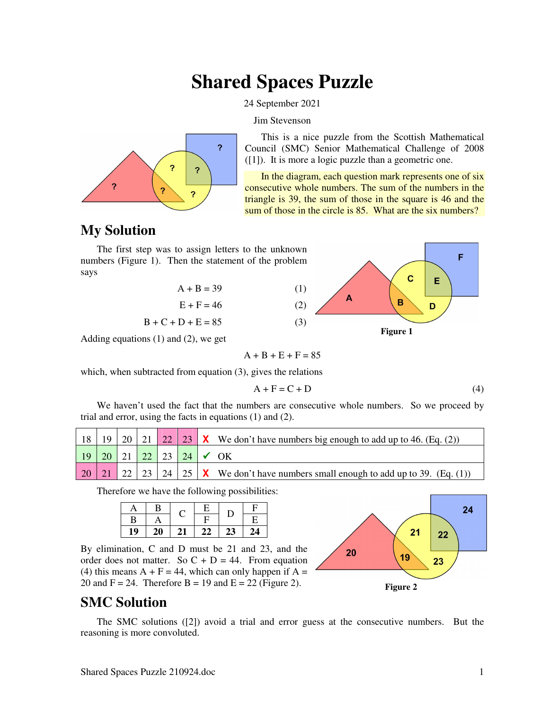# **Shared Spaces Puzzle**

24 September 2021

Jim Stevenson



This is a nice puzzle from the Scottish Mathematical Council (SMC) Senior Mathematical Challenge of 2008 ([1]). It is more a logic puzzle than a geometric one.

In the diagram, each question mark represents one of six consecutive whole numbers. The sum of the numbers in the triangle is 39, the sum of those in the square is 46 and the sum of those in the circle is 85. What are the six numbers?

## **My Solution**

The first step was to assign letters to the unknown numbers (Figure 1). Then the statement of the problem says





Adding equations (1) and (2), we get

 $A + B + E + F = 85$ 

which, when subtracted from equation (3), gives the relations

$$
A + F = C + D \tag{4}
$$

We haven't used the fact that the numbers are consecutive whole numbers. So we proceed by trial and error, using the facts in equations (1) and (2).

|               |    |    |    | 21   22   23   $\mathsf{X}$ We don't have numbers big enough to add up to 46. (Eq. (2)) |
|---------------|----|----|----|-----------------------------------------------------------------------------------------|
| <sup>19</sup> | 20 | 22 | 23 | $24 \times OK$                                                                          |
|               |    |    |    | 24   25   <b>X</b> We don't have numbers small enough to add up to 39. (Eq. (1))        |

Therefore we have the following possibilities:

|    | B         |    | Е  |    | □  |
|----|-----------|----|----|----|----|
| В  |           |    | с  | D  | E  |
| 19 | <b>20</b> | 21 | 22 | 23 | 24 |

By elimination, C and D must be 21 and 23, and the order does not matter. So  $C + D = 44$ . From equation (4) this means  $A + F = 44$ , which can only happen if  $A =$ 20 and  $F = 24$ . Therefore B = 19 and E = 22 (Figure 2).



### **SMC Solution**

The SMC solutions ([2]) avoid a trial and error guess at the consecutive numbers. But the reasoning is more convoluted.